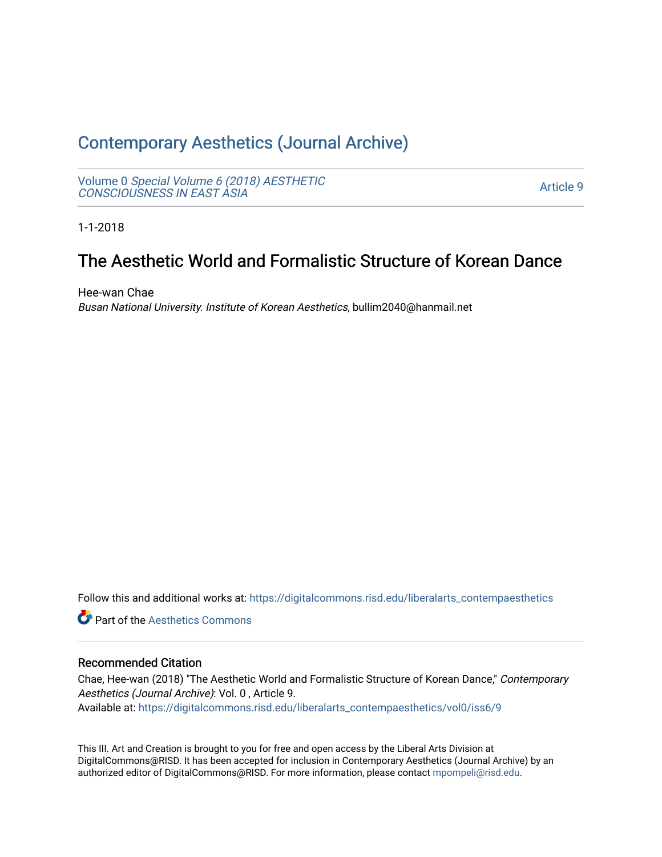# [Contemporary Aesthetics \(Journal Archive\)](https://digitalcommons.risd.edu/liberalarts_contempaesthetics)

Volume 0 [Special Volume 6 \(2018\) AESTHETIC](https://digitalcommons.risd.edu/liberalarts_contempaesthetics/vol0) [CONSCIOUSNESS IN EAST ASIA](https://digitalcommons.risd.edu/liberalarts_contempaesthetics/vol0)

[Article 9](https://digitalcommons.risd.edu/liberalarts_contempaesthetics/vol0/iss6/9) 

1-1-2018

# The Aesthetic World and Formalistic Structure of Korean Dance

Hee-wan Chae Busan National University. Institute of Korean Aesthetics, bullim2040@hanmail.net

Follow this and additional works at: [https://digitalcommons.risd.edu/liberalarts\\_contempaesthetics](https://digitalcommons.risd.edu/liberalarts_contempaesthetics?utm_source=digitalcommons.risd.edu%2Fliberalarts_contempaesthetics%2Fvol0%2Fiss6%2F9&utm_medium=PDF&utm_campaign=PDFCoverPages) 

**C** Part of the Aesthetics Commons

# Recommended Citation

Chae, Hee-wan (2018) "The Aesthetic World and Formalistic Structure of Korean Dance," Contemporary Aesthetics (Journal Archive): Vol. 0 , Article 9. Available at: [https://digitalcommons.risd.edu/liberalarts\\_contempaesthetics/vol0/iss6/9](https://digitalcommons.risd.edu/liberalarts_contempaesthetics/vol0/iss6/9?utm_source=digitalcommons.risd.edu%2Fliberalarts_contempaesthetics%2Fvol0%2Fiss6%2F9&utm_medium=PDF&utm_campaign=PDFCoverPages)

This III. Art and Creation is brought to you for free and open access by the Liberal Arts Division at DigitalCommons@RISD. It has been accepted for inclusion in Contemporary Aesthetics (Journal Archive) by an authorized editor of DigitalCommons@RISD. For more information, please contact [mpompeli@risd.edu.](mailto:mpompeli@risd.edu)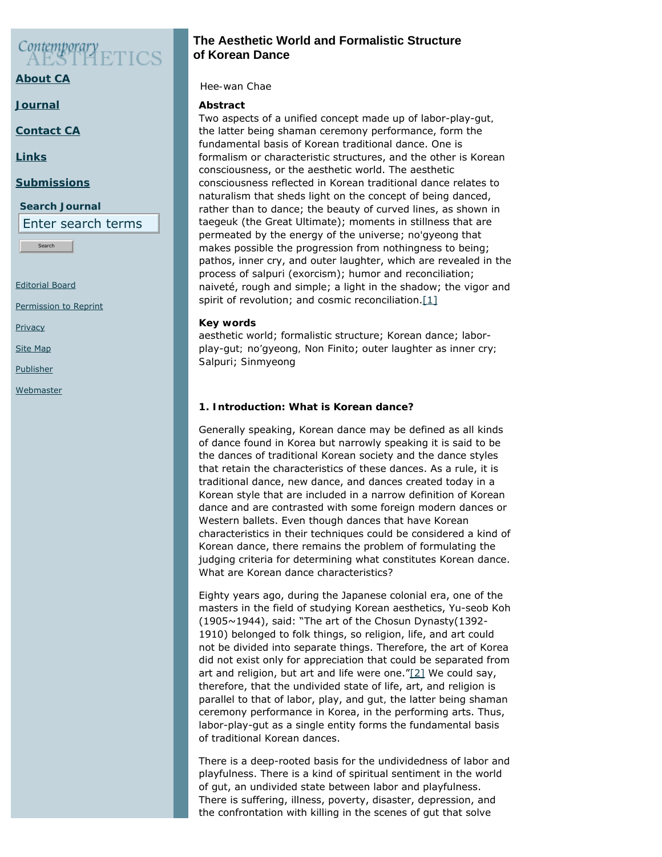# Contemporary

**[About CA](https://www.contempaesthetics.org/pages/about.html)**

**[Journal](https://www.contempaesthetics.org/newvolume/pages/journal.php)**

**[Contact CA](https://www.contempaesthetics.org/pages/contact.html)**

**[Links](https://www.contempaesthetics.org/pages/links.html)**

# **[Submissions](https://www.contempaesthetics.org/pages/guidelines.html)**

**Search Journal**

Enter search terms

**Search** 

[Editorial Board](https://www.contempaesthetics.org/pages/editorialboard.html)

<span id="page-1-0"></span>[Permission to Reprint](https://www.contempaesthetics.org/pages/reprint.html)

**[Privacy](https://www.contempaesthetics.org/pages/privacy.html)** 

[Site Map](https://www.contempaesthetics.org/pages/sitemap.html)

[Publisher](https://www.contempaesthetics.org/pages/publisher.html)

**[Webmaster](mailto:webmaster@contempaesthetics.org)** 

# **The Aesthetic World and Formalistic Structure of Korean Dance**

 *Hee-wan Chae*

# **Abstract**

Two aspects of a unified concept made up of labor-play-*gut,* the latter being shaman ceremony performance, form the fundamental basis of Korean traditional dance. One is formalism or characteristic structures, and the other is Korean consciousness, or the aesthetic world. The aesthetic consciousness reflected in Korean traditional dance relates to naturalism that sheds light on the concept of being danced, rather than to dance; the beauty of curved lines, as shown in *taegeuk* (the Great Ultimate); moments in stillness that are permeated by the energy of the universe; *no'gyeong* that makes possible the progression from nothingness to being; pathos, inner cry, and outer laughter, which are revealed in the process of *salpuri* (exorcism); humor and reconciliation; naiveté, rough and simple; a light in the shadow; the vigor and spirit of revolution; and cosmic reconciliation. $[1]$ 

# **Key words**

aesthetic world; formalistic structure; Korean dance; laborplay-*gut; no'gyeong,* Non Finito; outer laughter as inner cry*; Salpuri*; *Sinmyeong*

# **1. Introduction: What is Korean dance?**

Generally speaking, Korean dance may be defined as all kinds of dance found in Korea but narrowly speaking it is said to be the dances of traditional Korean society and the dance styles that retain the characteristics of these dances. As a rule, it is traditional dance, new dance, and dances created today in a Korean style that are included in a narrow definition of Korean dance and are contrasted with some foreign modern dances or Western ballets. Even though dances that have Korean characteristics in their techniques could be considered a kind of Korean dance, there remains the problem of formulating the judging criteria for determining what constitutes Korean dance. What are Korean dance characteristics?

<span id="page-1-1"></span>Eighty years ago, during the Japanese colonial era, one of the masters in the field of studying Korean aesthetics, Yu-seob Koh (1905~1944), said: "The art of the Chosun Dynasty(1392- 1910) belonged to folk things, so religion, life, and art could not be divided into separate things. Therefore, the art of Korea did not exist only for appreciation that could be separated from art and religion, but art and life were one." $[2]$  We could say, therefore, that the undivided state of life, art, and religion is parallel to that of labor, play, and *gut,* the latter being shaman ceremony performance in Korea, in the performing arts. Thus, labor-play-*gut* as a single entity forms the fundamental basis of traditional Korean dances.

There is a deep-rooted basis for the undividedness of labor and playfulness. There is a kind of spiritual sentiment in the world of *gut*, an undivided state between labor and playfulness. There is suffering, illness, poverty, disaster, depression, and the confrontation with killing in the scenes of *gut* that solve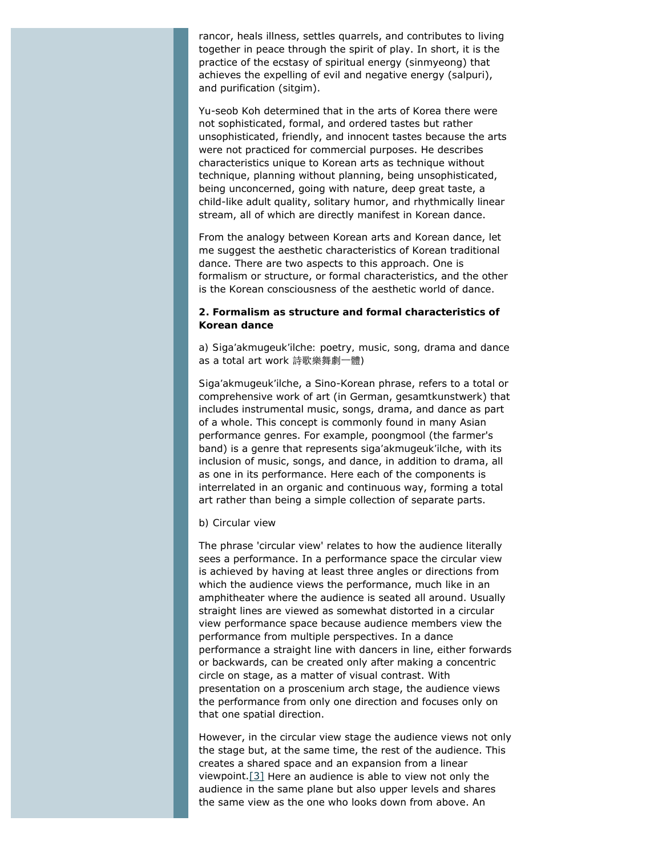rancor, heals illness, settles quarrels, and contributes to living together in peace through the spirit of play. In short, it is the practice of the ecstasy of spiritual energy (*sinmyeong*) that achieves the expelling of evil and negative energy (*salpuri*), and purification (*sitgim*).

Yu-seob Koh determined that in the arts of Korea there were not sophisticated, formal, and ordered tastes but rather unsophisticated, friendly, and innocent tastes because the arts were not practiced for commercial purposes. He describes characteristics unique to Korean arts as technique without technique, planning without planning, being unsophisticated, being unconcerned, going with nature, deep great taste, a child-like adult quality, solitary humor, and rhythmically linear stream, all of which are directly manifest in Korean dance.

From the analogy between Korean arts and Korean dance, let me suggest the aesthetic characteristics of Korean traditional dance. There are two aspects to this approach. One is formalism or structure, or formal characteristics, and the other is the Korean consciousness of the aesthetic world of dance.

# **2. Formalism as structure and formal characteristics of Korean dance**

*a) Siga'akmugeuk'ilche: poetry, music, song, drama and dance as a total art work* 詩歌樂舞劇一體*)*

*Siga'akmugeuk'ilche*, a Sino-Korean phrase, refers to a total or comprehensive work of art (in German, *gesamtkunstwerk*) that includes instrumental music, songs, drama, and dance as part of a whole. This concept is commonly found in many Asian performance genres. For example, *poongmool* (the farmer's band) is a genre that represents *siga'akmugeuk'ilche*, with its inclusion of music, songs, and dance, in addition to drama, all as one in its performance. Here each of the components is interrelated in an organic and continuous way, forming a total art rather than being a simple collection of separate parts.

#### *b) Circular view*

The phrase 'circular view' relates to how the audience literally sees a performance. In a performance space the circular view is achieved by having at least three angles or directions from which the audience views the performance, much like in an amphitheater where the audience is seated all around. Usually straight lines are viewed as somewhat distorted in a circular view performance space because audience members view the performance from multiple perspectives. In a dance performance a straight line with dancers in line, either forwards or backwards, can be created only after making a concentric circle on stage, as a matter of visual contrast. With presentation on a proscenium arch stage, the audience views the performance from only one direction and focuses only on that one spatial direction.

<span id="page-2-0"></span>However, in the circular view stage the audience views not only the stage but, at the same time, the rest of the audience. This creates a shared space and an expansion from a linear viewpoint.[\[3\]](#page-13-2) Here an audience is able to view not only the audience in the same plane but also upper levels and shares the same view as the one who looks down from above. An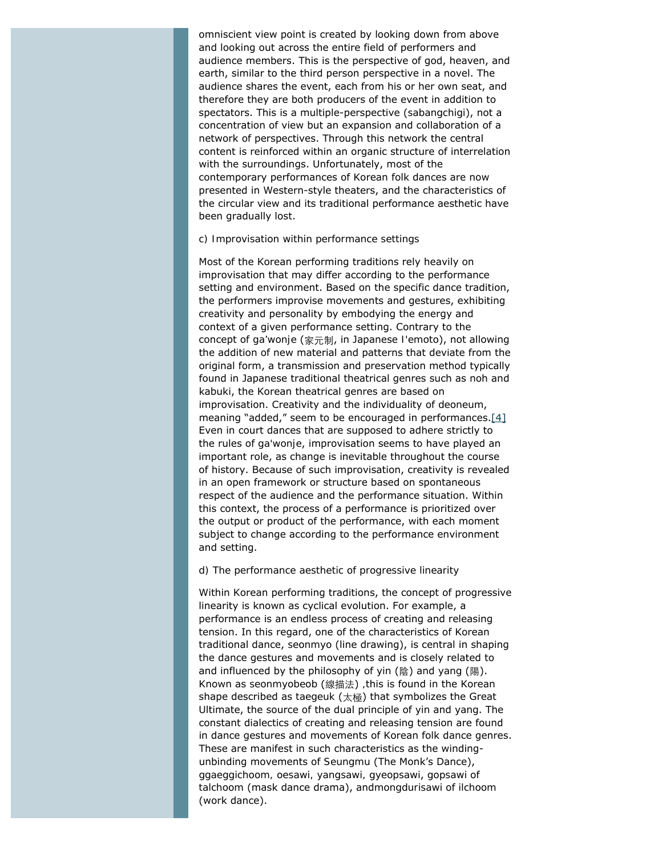omniscient view point is created by looking down from above and looking out across the entire field of performers and audience members. This is the perspective of god, heaven, and earth, similar to the third person perspective in a novel. The audience shares the event, each from his or her own seat, and therefore they are both producers of the event in addition to spectators. This is a multiple-perspective (*sabangchigi*), not a concentration of view but an expansion and collaboration of a network of perspectives. Through this network the central content is reinforced within an organic structure of interrelation with the surroundings. Unfortunately, most of the contemporary performances of Korean folk dances are now presented in Western-style theaters, and the characteristics of the circular view and its traditional performance aesthetic have been gradually lost.

#### *c) Improvisation within performance settings*

Most of the Korean performing traditions rely heavily on improvisation that may differ according to the performance setting and environment. Based on the specific dance tradition, the performers improvise movements and gestures, exhibiting creativity and personality by embodying the energy and context of a given performance setting. Contrary to the concept of *ga'wonje* (家元制, in Japanese *I'emoto*), not allowing the addition of new material and patterns that deviate from the original form, a transmission and preservation method typically found in Japanese traditional theatrical genres such as noh and kabuki, the Korean theatrical genres are based on improvisation. Creativity and the individuality of *deoneum*, meaning "added," seem to be encouraged in performances[.\[4\]](#page-13-3) Even in court dances that are supposed to adhere strictly to the rules of *ga'wonje*, improvisation seems to have played an important role, as change is inevitable throughout the course of history. Because of such improvisation, creativity is revealed in an open framework or structure based on spontaneous respect of the audience and the performance situation. Within this context, the process of a performance is prioritized over the output or product of the performance, with each moment subject to change according to the performance environment and setting.

#### <span id="page-3-0"></span>*d) The performance aesthetic of progressive linearity*

Within Korean performing traditions, the concept of progressive linearity is known as cyclical evolution. For example, a performance is an endless process of creating and releasing tension. In this regard, one of the characteristics of Korean traditional dance, *seonmyo* (line drawing), is central in shaping the dance gestures and movements and is closely related to and influenced by the philosophy of *yin* (陰) and *yang* (陽). Known as *seonmyobeob* (線描法) *,*this is found in the Korean shape described as *taegeuk* (太極) that symbolizes the Great Ultimate, the source of the dual principle of *yin* and *yang*. The constant dialectics of creating and releasing tension are found in dance gestures and movements of Korean folk dance genres. These are manifest in such characteristics as the windingunbinding movements of *Seungmu* (The Monk's Dance), *ggaeggichoom, oesawi, yangsawi, gyeopsawi*, *gopsawi* of *talchoom* (mask dance drama), and*mongdurisawi* of *ilchoom* (work dance).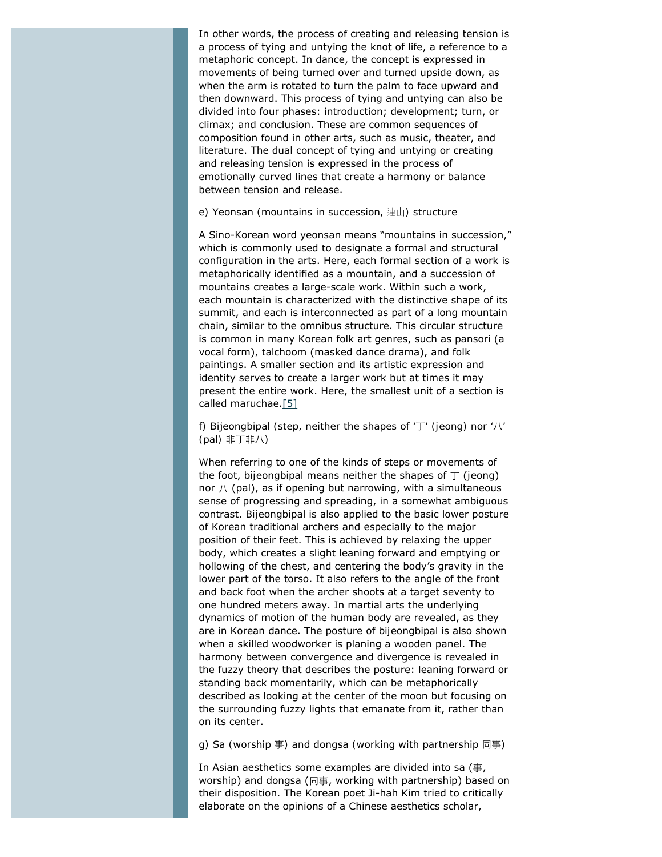In other words, the process of creating and releasing tension is a process of tying and untying the knot of life, a reference to a metaphoric concept. In dance, the concept is expressed in movements of being turned over and turned upside down, as when the arm is rotated to turn the palm to face upward and then downward. This process of tying and untying can also be divided into four phases: introduction; development; turn, or climax; and conclusion. These are common sequences of composition found in other arts, such as music, theater, and literature. The dual concept of tying and untying or creating and releasing tension is expressed in the process of emotionally curved lines that create a harmony or balance between tension and release.

#### *e)* Yeonsan *(mountains in succession,* 連山*) structure*

A Sino-Korean word *yeonsan* means "mountains in succession," which is commonly used to designate a formal and structural configuration in the arts. Here, each formal section of a work is metaphorically identified as a mountain, and a succession of mountains creates a large-scale work. Within such a work, each mountain is characterized with the distinctive shape of its summit, and each is interconnected as part of a long mountain chain, similar to the omnibus structure. This circular structure is common in many Korean folk art genres, such as *pansori* (a vocal form)*, talchoom* (masked dance drama), and folk paintings. A smaller section and its artistic expression and identity serves to create a larger work but at times it may present the entire work. Here, the smallest unit of a section is called *maruchae*[.\[5\]](#page-13-4)

<span id="page-4-0"></span>*f)* Bijeongbipal *(step, neither the shapes of '*丁*' (jeong) nor '*八*' (pal)* 非丁非八*)*

When referring to one of the kinds of steps or movements of the foot, *bijeongbipal* means neither the shapes of 丁 (*jeong*) nor  $\Lambda$  (pal), as if opening but narrowing, with a simultaneous sense of progressing and spreading, in a somewhat ambiguous contrast. *Bijeongbipal* is also applied to the basic lower posture of Korean traditional archers and especially to the major position of their feet. This is achieved by relaxing the upper body, which creates a slight leaning forward and emptying or hollowing of the chest, and centering the body's gravity in the lower part of the torso. It also refers to the angle of the front and back foot when the archer shoots at a target seventy to one hundred meters away. In martial arts the underlying dynamics of motion of the human body are revealed, as they are in Korean dance. The posture of *bijeongbipal* is also shown when a skilled woodworker is planing a wooden panel. The harmony between convergence and divergence is revealed in the fuzzy theory that describes the posture: leaning forward or standing back momentarily, which can be metaphorically described as looking at the center of the moon but focusing on the surrounding fuzzy lights that emanate from it, rather than on its center.

*g)* Sa *(worship* 事*) and* dongsa *(working with partnership* 同事*)*

In Asian aesthetics some examples are divided into *sa* (事, worship) and *dongsa* (同事, working with partnership) based on their disposition. The Korean poet Ji-hah Kim tried to critically elaborate on the opinions of a Chinese aesthetics scholar,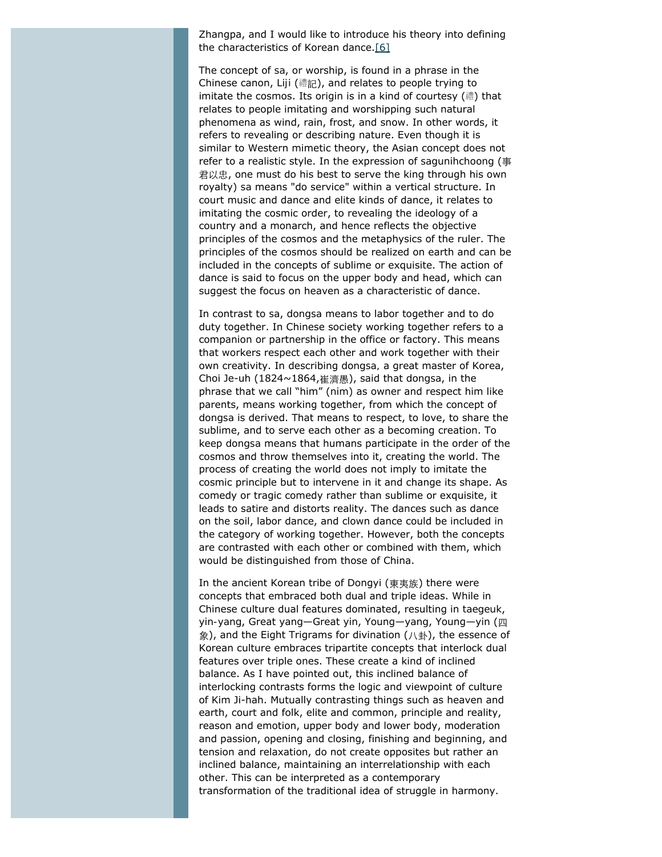<span id="page-5-0"></span>Zhangpa, and I would like to introduce his theory into defining the characteristics of Korean dance.[\[6\]](#page-14-0)

The concept of *sa*, or worship, is found in a phrase in the Chinese canon, *Liji* (禮記), and relates to people trying to imitate the cosmos. Its origin is in a kind of courtesy (禮) that relates to people imitating and worshipping such natural phenomena as wind, rain, frost, and snow. In other words, it refers to revealing or describing nature. Even though it is similar to Western mimetic theory, the Asian concept does not refer to a realistic style. In the expression of *sagunihchoong* (事 君以忠, one must do his best to serve the king through his own royalty) *sa* means "do service" within a vertical structure. In court music and dance and elite kinds of dance, it relates to imitating the cosmic order, to revealing the ideology of a country and a monarch, and hence reflects the objective principles of the cosmos and the metaphysics of the ruler. The principles of the cosmos should be realized on earth and can be included in the concepts of sublime or exquisite. The action of dance is said to focus on the upper body and head, which can suggest the focus on heaven as a characteristic of dance.

In contrast to *sa*, *dongsa* means to labor together and to do duty together. In Chinese society working together refers to a companion or partnership in the office or factory. This means that workers respect each other and work together with their own creativity. In describing *dongsa,* a great master of Korea, Choi Je-uh (1824~1864,崔濟愚), said that *dongsa*, in the phrase that we call "him" (*nim*) as owner and respect him like parents, means working together, from which the concept of *dongsa* is derived. That means to respect, to love, to share the sublime, and to serve each other as a becoming creation. To keep *dongsa* means that humans participate in the order of the cosmos and throw themselves into it, creating the world. The process of creating the world does not imply to imitate the cosmic principle but to intervene in it and change its shape. As comedy or tragic comedy rather than sublime or exquisite, it leads to satire and distorts reality. The dances such as dance on the soil, labor dance, and clown dance could be included in the category of working together. However, both the concepts are contrasted with each other or combined with them, which would be distinguished from those of China.

In the ancient Korean tribe of Dongyi (東夷族) there were concepts that embraced both dual and triple ideas. While in Chinese culture dual features dominated, resulting in *taegeuk*, *yin-yang*, Great *yang*—Great *yin*, Young—*yang*, Young—*yin* (四 象), and the Eight Trigrams for divination (八卦), the essence of Korean culture embraces tripartite concepts that interlock dual features over triple ones. These create a kind of inclined balance. As I have pointed out, this inclined balance of interlocking contrasts forms the logic and viewpoint of culture of Kim Ji-hah. Mutually contrasting things such as heaven and earth, court and folk, elite and common, principle and reality, reason and emotion, upper body and lower body, moderation and passion, opening and closing, finishing and beginning, and tension and relaxation, do not create opposites but rather an inclined balance, maintaining an interrelationship with each other. This can be interpreted as a contemporary transformation of the traditional idea of struggle in harmony.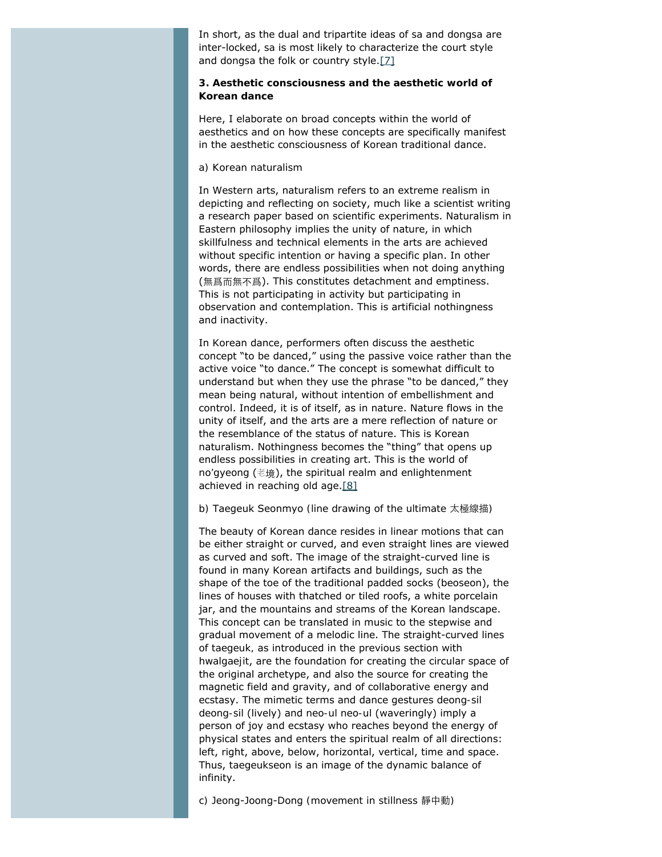In short, as the dual and tripartite ideas of *sa* and *dongsa* are inter-locked, *sa* is most likely to characterize the court style and *dongsa* the folk or country style[.\[7\]](#page-14-1)

## <span id="page-6-0"></span>**3. Aesthetic consciousness and the aesthetic world of Korean dance**

Here, I elaborate on broad concepts within the world of aesthetics and on how these concepts are specifically manifest in the aesthetic consciousness of Korean traditional dance.

#### *a) Korean naturalism*

In Western arts, naturalism refers to an extreme realism in depicting and reflecting on society, much like a scientist writing a research paper based on scientific experiments. Naturalism in Eastern philosophy implies the unity of nature, in which skillfulness and technical elements in the arts are achieved without specific intention or having a specific plan. In other words, there are endless possibilities when not doing anything (無爲而無不爲). This constitutes detachment and emptiness. This is not participating in activity but participating in observation and contemplation. This is artificial nothingness and inactivity.

In Korean dance, performers often discuss the aesthetic concept "to be danced," using the passive voice rather than the active voice "to dance." The concept is somewhat difficult to understand but when they use the phrase "to be danced," they mean being natural, without intention of embellishment and control. Indeed, it is of itself, as in nature. Nature flows in the unity of itself, and the arts are a mere reflection of nature or the resemblance of the status of nature. This is Korean naturalism. Nothingness becomes the "thing" that opens up endless possibilities in creating art. This is the world of *no'gyeong* (老境), the spiritual realm and enlightenment achieved in reaching old age[.\[8\]](#page-14-2)

#### <span id="page-6-1"></span>*b)* Taegeuk Seonmyo *(line drawing of the ultimate* 太極線描*)*

The beauty of Korean dance resides in linear motions that can be either straight or curved, and even straight lines are viewed as curved and soft. The image of the straight-curved line is found in many Korean artifacts and buildings, such as the shape of the toe of the traditional padded socks (*beoseon*), the lines of houses with thatched or tiled roofs, a white porcelain jar, and the mountains and streams of the Korean landscape. This concept can be translated in music to the stepwise and gradual movement of a melodic line. The straight-curved lines of *taegeuk,* as introduced in the previous section with *hwalgaejit*, are the foundation for creating the circular space of the original archetype, and also the source for creating the magnetic field and gravity, and of collaborative energy and ecstasy. The mimetic terms and dance gestures *deong-sil deong-sil* (lively) and *neo-ul neo-ul* (waveringly) imply a person of joy and ecstasy who reaches beyond the energy of physical states and enters the spiritual realm of all directions: left, right, above, below, horizontal, vertical, time and space. Thus, *taegeukseon* is an image of the dynamic balance of infinity.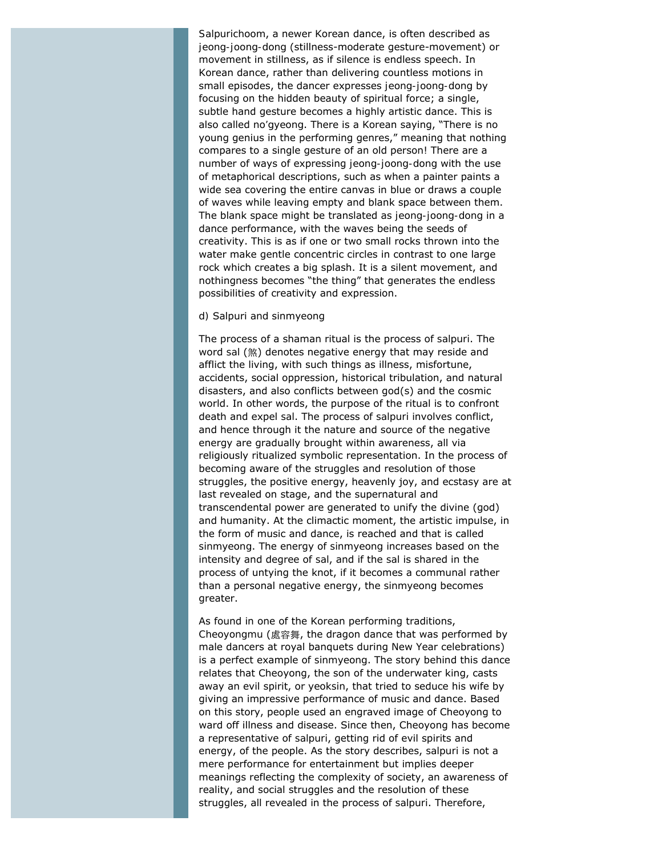*Salpurichoom*, a newer Korean dance, is often described as *jeong-joong-dong* (stillness-moderate gesture-movement) or movement in stillness, as if silence is endless speech. In Korean dance, rather than delivering countless motions in small episodes, the dancer expresses *jeong-joong-dong* by focusing on the hidden beauty of spiritual force; a single, subtle hand gesture becomes a highly artistic dance. This is also called *no'gyeong*. There is a Korean saying, "There is no young genius in the performing genres," meaning that nothing compares to a single gesture of an old person! There are a number of ways of expressing *jeong-joong-dong* with the use of metaphorical descriptions, such as when a painter paints a wide sea covering the entire canvas in blue or draws a couple of waves while leaving empty and blank space between them. The blank space might be translated as *jeong-joong-dong* in a dance performance, with the waves being the seeds of creativity. This is as if one or two small rocks thrown into the water make gentle concentric circles in contrast to one large rock which creates a big splash. It is a silent movement, and nothingness becomes "the thing" that generates the endless possibilities of creativity and expression.

#### *d)* Salpuri *and* sinmyeong

The process of a shaman ritual is the process of *salpuri*. The word *sal* (煞) denotes negative energy that may reside and afflict the living, with such things as illness, misfortune, accidents, social oppression, historical tribulation, and natural disasters, and also conflicts between god(s) and the cosmic world. In other words, the purpose of the ritual is to confront death and expel *sal*. The process of *salpuri* involves conflict, and hence through it the nature and source of the negative energy are gradually brought within awareness, all via religiously ritualized symbolic representation. In the process of becoming aware of the struggles and resolution of those struggles, the positive energy, heavenly joy, and ecstasy are at last revealed on stage, and the supernatural and transcendental power are generated to unify the divine (god) and humanity. At the climactic moment, the artistic impulse, in the form of music and dance, is reached and that is called *sinmyeong*. The energy of *sinmyeong* increases based on the intensity and degree of *sal*, and if the *sal* is shared in the process of untying the knot, if it becomes a communal rather than a personal negative energy, the *sinmyeong* becomes greater.

As found in one of the Korean performing traditions, *Cheoyongmu* (處容舞, the dragon dance that was performed by male dancers at royal banquets during New Year celebrations) is a perfect example of *sinmyeong*. The story behind this dance relates that Cheoyong, the son of the underwater king, casts away an evil spirit, or *yeoksin*, that tried to seduce his wife by giving an impressive performance of music and dance. Based on this story, people used an engraved image of Cheoyong to ward off illness and disease. Since then, Cheoyong has become a representative of *salpuri*, getting rid of evil spirits and energy, of the people. As the story describes, *salpuri* is not a mere performance for entertainment but implies deeper meanings reflecting the complexity of society, an awareness of reality, and social struggles and the resolution of these struggles, all revealed in the process of *salpuri*. Therefore,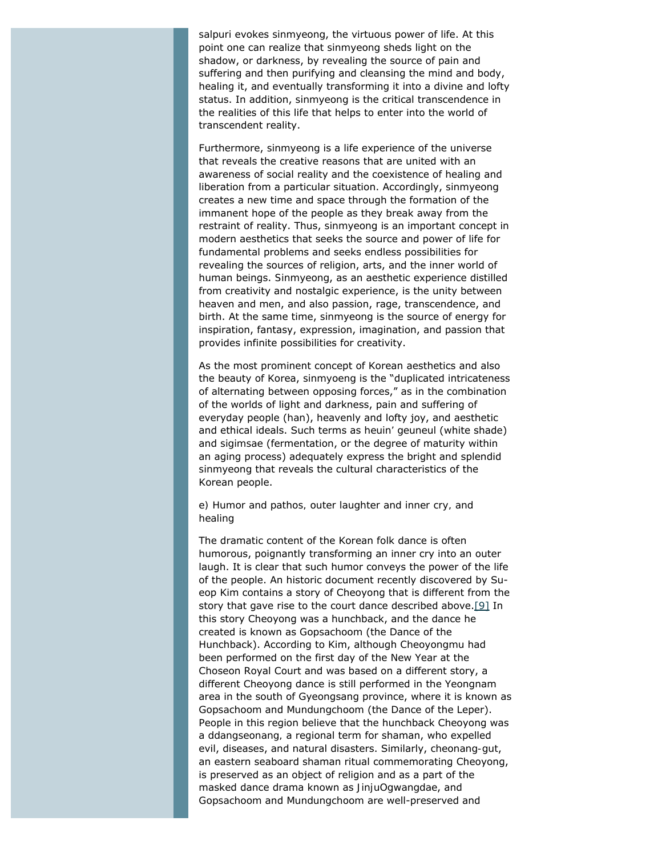*salpuri* evokes *sinmyeong*, the virtuous power of life. At this point one can realize that *sinmyeong* sheds light on the shadow, or darkness, by revealing the source of pain and suffering and then purifying and cleansing the mind and body, healing it, and eventually transforming it into a divine and lofty status. In addition, *sinmyeong* is the critical transcendence in the realities of this life that helps to enter into the world of transcendent reality.

Furthermore, *sinmyeong* is a life experience of the universe that reveals the creative reasons that are united with an awareness of social reality and the coexistence of healing and liberation from a particular situation. Accordingly, *sinmyeong* creates a new time and space through the formation of the immanent hope of the people as they break away from the restraint of reality. Thus, *sinmyeong* is an important concept in modern aesthetics that seeks the source and power of life for fundamental problems and seeks endless possibilities for revealing the sources of religion, arts, and the inner world of human beings. *Sinmyeong*, as an aesthetic experience distilled from creativity and nostalgic experience, is the unity between heaven and men, and also passion, rage, transcendence, and birth. At the same time, *sinmyeong* is the source of energy for inspiration, fantasy, expression, imagination, and passion that provides infinite possibilities for creativity.

As the most prominent concept of Korean aesthetics and also the beauty of Korea, *sinmyoeng* is the "duplicated intricateness of alternating between opposing forces," as in the combination of the worlds of light and darkness, pain and suffering of everyday people (*han*), heavenly and lofty joy, and aesthetic and ethical ideals. Such terms as *heuin' geuneul* (white shade) and *sigimsae* (fermentation, or the degree of maturity within an aging process) adequately express the bright and splendid *sinmyeong* that reveals the cultural characteristics of the Korean people.

# *e) Humor and pathos, outer laughter and inner cry, and healing*

<span id="page-8-0"></span>The dramatic content of the Korean folk dance is often humorous, poignantly transforming an inner cry into an outer laugh. It is clear that such humor conveys the power of the life of the people. An historic document recently discovered by Sueop Kim contains a story of Cheoyong that is different from the story that gave rise to the court dance described above[.\[9\]](#page-14-3) In this story Cheoyong was a hunchback, and the dance he created is known as *Gopsachoom* (the Dance of the Hunchback). According to Kim, although *Cheoyongmu* had been performed on the first day of the New Year at the Choseon Royal Court and was based on a different story, a different Cheoyong dance is still performed in the Yeongnam area in the south of Gyeongsang province, where it is known as G*opsachoom* and *Mundungchoom* (the Dance of the Leper). People in this region believe that the hunchback Cheoyong was a *ddangseonang,* a regional term for shaman, who expelled evil, diseases, and natural disasters. Similarly, *cheonang-gut*, an eastern seaboard shaman ritual commemorating Cheoyong, is preserved as an object of religion and as a part of the masked dance drama known as *JinjuOgwangdae*, and *Gopsachoom* and *Mundungchoom* are well-preserved and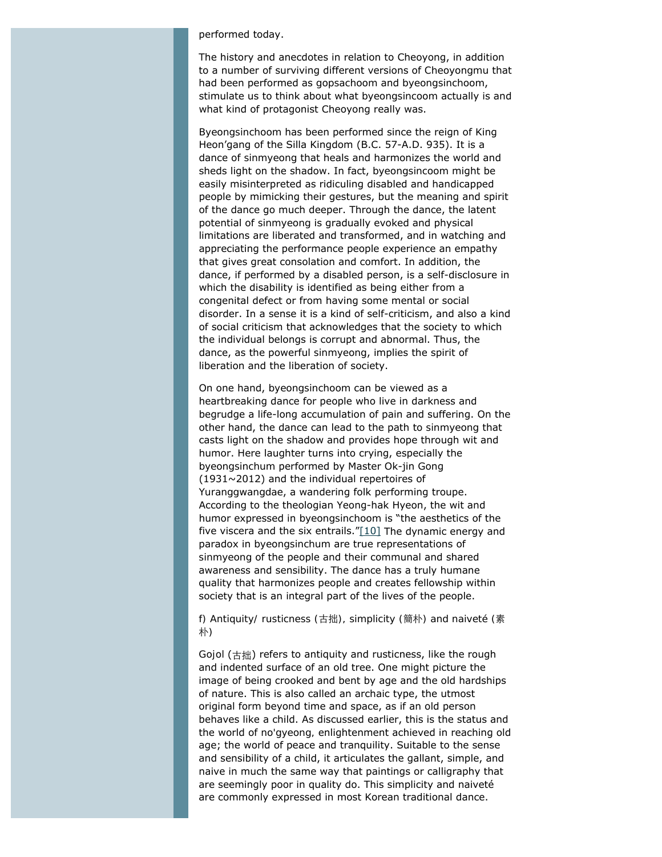#### performed today.

The history and anecdotes in relation to Cheoyong, in addition to a number of surviving different versions of *Cheoyongmu* that had been performed as *gopsachoom* and *byeongsinchoom*, stimulate us to think about what *byeongsincoom* actually is and what kind of protagonist Cheoyong really was.

*Byeongsinchoom* has been performed since the reign of King Heon'gang of the Silla Kingdom (B.C. 57-A.D. 935). It is a dance of *sinmyeong* that heals and harmonizes the world and sheds light on the shadow. In fact, *byeongsincoom* might be easily misinterpreted as ridiculing disabled and handicapped people by mimicking their gestures, but the meaning and spirit of the dance go much deeper. Through the dance, the latent potential of *sinmyeong* is gradually evoked and physical limitations are liberated and transformed, and in watching and appreciating the performance people experience an empathy that gives great consolation and comfort. In addition, the dance, if performed by a disabled person, is a self-disclosure in which the disability is identified as being either from a congenital defect or from having some mental or social disorder. In a sense it is a kind of self-criticism, and also a kind of social criticism that acknowledges that the society to which the individual belongs is corrupt and abnormal. Thus, the dance, as the powerful *sinmyeong*, implies the spirit of liberation and the liberation of society.

On one hand, *byeongsinchoom* can be viewed as a heartbreaking dance for people who live in darkness and begrudge a life-long accumulation of pain and suffering. On the other hand, the dance can lead to the path to *sinmyeong* that casts light on the shadow and provides hope through wit and humor. Here laughter turns into crying, especially the *byeongsinchum* performed by Master Ok-jin Gong (1931~2012) and the individual repertoires of *Yuranggwangdae*, a wandering folk performing troupe. According to the theologian Yeong-hak Hyeon, the wit and humor expressed in *byeongsinchoom* is "the aesthetics of the five viscera and the six entrails.  $T[10]$  The dynamic energy and paradox in *byeongsinchum* are true representations of *sinmyeong* of the people and their communal and shared awareness and sensibility. The dance has a truly humane quality that harmonizes people and creates fellowship within society that is an integral part of the lives of the people.

# <span id="page-9-0"></span>*f) Antiquity/ rusticness (*古拙*), simplicity (*簡朴*) and naiveté (*素 朴*)*

*Gojol* (古拙) refers to antiquity and rusticness, like the rough and indented surface of an old tree. One might picture the image of being crooked and bent by age and the old hardships of nature. This is also called an archaic type, the utmost original form beyond time and space, as if an old person behaves like a child. As discussed earlier, this is the status and the world of *no'gyeong,* enlightenment achieved in reaching old age; the world of peace and tranquility. Suitable to the sense and sensibility of a child, it articulates the gallant, simple, and naive in much the same way that paintings or calligraphy that are seemingly poor in quality do. This simplicity and naiveté are commonly expressed in most Korean traditional dance.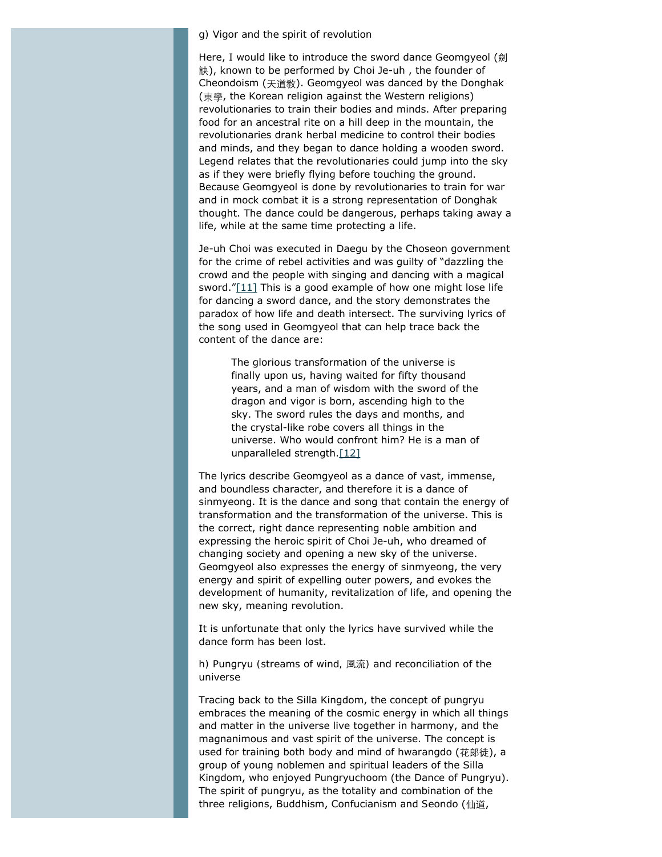#### *g) Vigor and the spirit of revolution*

Here, I would like to introduce the sword dance *Geomgyeol* (劍 訣), known to be performed by Choi Je-uh , the founder of Cheondoism (天道敎). *Geomgyeol* was danced by the *Donghak* (東學, the Korean religion against the Western religions) revolutionaries to train their bodies and minds. After preparing food for an ancestral rite on a hill deep in the mountain, the revolutionaries drank herbal medicine to control their bodies and minds, and they began to dance holding a wooden sword. Legend relates that the revolutionaries could jump into the sky as if they were briefly flying before touching the ground. Because *Geomgyeol* is done by revolutionaries to train for war and in mock combat it is a strong representation of *Donghak* thought. The dance could be dangerous, perhaps taking away a life, while at the same time protecting a life.

<span id="page-10-0"></span>Je-uh Choi was executed in Daegu by the Choseon government for the crime of rebel activities and was guilty of "dazzling the crowd and the people with singing and dancing with a magical sword." $[11]$  This is a good example of how one might lose life for dancing a sword dance, and the story demonstrates the paradox of how life and death intersect. The surviving lyrics of the song used in *Geomgyeol* that can help trace back the content of the dance are:

The glorious transformation of the universe is finally upon us, having waited for fifty thousand years, and a man of wisdom with the sword of the dragon and vigor is born, ascending high to the sky. The sword rules the days and months, and the crystal-like robe covers all things in the universe. Who would confront him? He is a man of unparalleled strength.[\[12\]](#page-14-6)

<span id="page-10-1"></span>The lyrics describe *Geomgyeol* as a dance of vast, immense, and boundless character, and therefore it is a dance of *sinmyeong*. It is the dance and song that contain the energy of transformation and the transformation of the universe. This is the correct, right dance representing noble ambition and expressing the heroic spirit of Choi Je-uh, who dreamed of changing society and opening a new sky of the universe. *Geomgyeol* also expresses the energy of *sinmyeong*, the very energy and spirit of expelling outer powers, and evokes the development of humanity, revitalization of life, and opening the new sky, meaning revolution.

It is unfortunate that only the lyrics have survived while the dance form has been lost.

*h)* Pungryu *(streams of wind,* 風流*) and reconciliation of the universe*

Tracing back to the Silla Kingdom, the concept of *pungryu* embraces the meaning of the cosmic energy in which all things and matter in the universe live together in harmony, and the magnanimous and vast spirit of the universe. The concept is used for training both body and mind of *hwarangdo* (花郞徒), a group of young noblemen and spiritual leaders of the Silla Kingdom, who enjoyed *Pungryuchoom* (the Dance of *Pungryu*). The spirit of *pungryu*, as the totality and combination of the three religions, Buddhism, Confucianism and *Seondo* (仙道,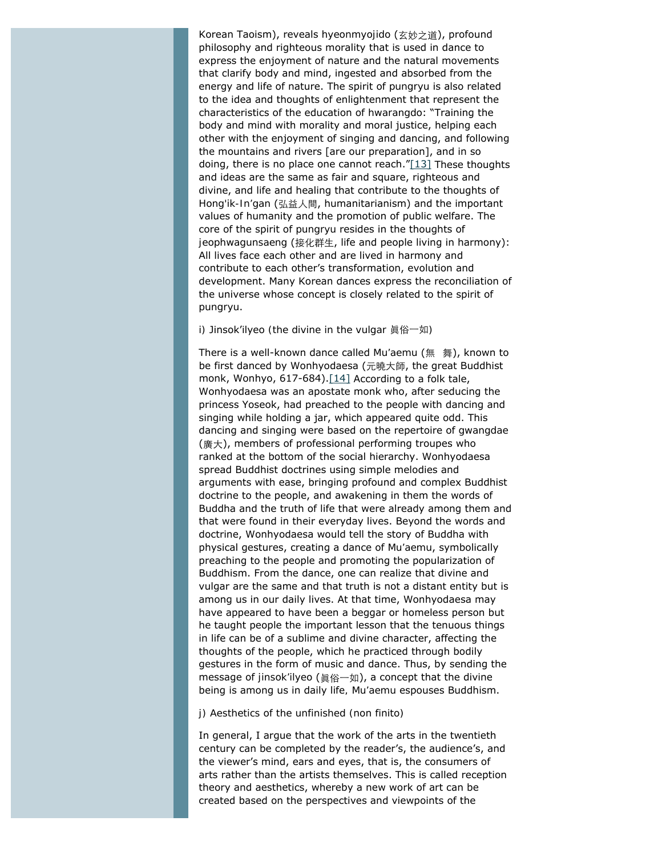<span id="page-11-0"></span>Korean Taoism), reveals *hyeonmyojido* (玄妙之道), profound philosophy and righteous morality that is used in dance to express the enjoyment of nature and the natural movements that clarify body and mind, ingested and absorbed from the energy and life of nature. The spirit of *pungryu* is also related to the idea and thoughts of enlightenment that represent the characteristics of the education of *hwarangdo*: "Training the body and mind with morality and moral justice, helping each other with the enjoyment of singing and dancing, and following the mountains and rivers [are our preparation], and in so doing, there is no place one cannot reach." $[13]$  These thoughts and ideas are the same as fair and square, righteous and divine, and life and healing that contribute to the thoughts of *Hong'ik-In'gan* (弘益人間, humanitarianism) and the important values of humanity and the promotion of public welfare. The core of the spirit of *pungryu* resides in the thoughts of *jeophwagunsaeng* (接化群生, life and people living in harmony): All lives face each other and are lived in harmony and contribute to each other's transformation, evolution and development. Many Korean dances express the reconciliation of the universe whose concept is closely related to the spirit of *pungryu*.

## *i)* Jinsok'ilyeo *(the divine in the vulgar* 眞俗一如*)*

<span id="page-11-1"></span>There is a well-known dance called *Mu'aemu* (無 舞), known to be first danced by Wonhyodaesa (元曉大師, the great Buddhist monk, Wonhyo, 617-684). $[14]$  According to a folk tale, Wonhyodaesa was an apostate monk who, after seducing the princess Yoseok, had preached to the people with dancing and singing while holding a jar, which appeared quite odd. This dancing and singing were based on the repertoire of *gwangdae* (廣大), members of professional performing troupes who ranked at the bottom of the social hierarchy. Wonhyodaesa spread Buddhist doctrines using simple melodies and arguments with ease, bringing profound and complex Buddhist doctrine to the people, and awakening in them the words of Buddha and the truth of life that were already among them and that were found in their everyday lives. Beyond the words and doctrine, Wonhyodaesa would tell the story of Buddha with physical gestures, creating a dance of *Mu'aemu*, symbolically preaching to the people and promoting the popularization of Buddhism. From the dance, one can realize that divine and vulgar are the same and that truth is not a distant entity but is among us in our daily lives. At that time, Wonhyodaesa may have appeared to have been a beggar or homeless person but he taught people the important lesson that the tenuous things in life can be of a sublime and divine character, affecting the thoughts of the people, which he practiced through bodily gestures in the form of music and dance. Thus, by sending the message of *jinsok'ilyeo* (眞俗一如), a concept that the divine being is among us in daily life*, Mu'aemu* espouses Buddhism.

#### *j) Aesthetics of the unfinished (*non finito*)*

In general, I argue that the work of the arts in the twentieth century can be completed by the reader's, the audience's, and the viewer's mind, ears and eyes, that is, the consumers of arts rather than the artists themselves. This is called reception theory and aesthetics, whereby a new work of art can be created based on the perspectives and viewpoints of the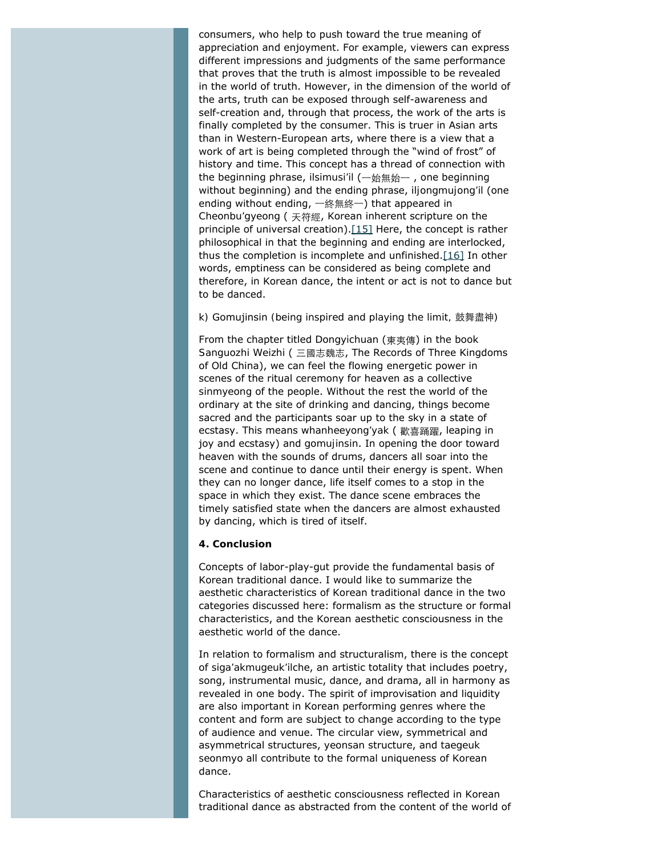consumers, who help to push toward the true meaning of appreciation and enjoyment. For example, viewers can express different impressions and judgments of the same performance that proves that the truth is almost impossible to be revealed in the world of truth. However, in the dimension of the world of the arts, truth can be exposed through self-awareness and self-creation and, through that process, the work of the arts is finally completed by the consumer. This is truer in Asian arts than in Western-European arts, where there is a view that a work of art is being completed through the "wind of frost" of history and time. This concept has a thread of connection with the beginning phrase, *ilsimusi'il* (一始無始一 , one beginning without beginning) and the ending phrase, *iljongmujong'il* (one ending without ending, 一終無終一) that appeared in *Cheonbu'gyeong* ( 天符經, Korean inherent scripture on the principle of universal creation).<sup>[15]</sup> Here, the concept is rather philosophical in that the beginning and ending are interlocked, thus the completion is incomplete and unfinished. $[16]$  In other words, emptiness can be considered as being complete and therefore, in Korean dance, the intent or act is not to dance but to be danced.

#### <span id="page-12-1"></span><span id="page-12-0"></span>*k)* Gomujinsin *(being inspired and playing the limit,* 鼓舞盡神*)*

From the chapter titled *Dongyichuan* (東夷傳) in the book *Sanguozhi Weizhi* ( 三國志魏志, The Records of Three Kingdoms of Old China), we can feel the flowing energetic power in scenes of the ritual ceremony for heaven as a collective *sinmyeong* of the people. Without the rest the world of the ordinary at the site of drinking and dancing, things become sacred and the participants soar up to the sky in a state of ecstasy. This means *whanheeyong'yak* ( 歡喜踊躍, leaping in joy and ecstasy) and *gomujinsin*. In opening the door toward heaven with the sounds of drums, dancers all soar into the scene and continue to dance until their energy is spent. When they can no longer dance, life itself comes to a stop in the space in which they exist. The dance scene embraces the timely satisfied state when the dancers are almost exhausted by dancing, which is tired of itself.

#### **4. Conclusion**

Concepts of labor-play-*gut* provide the fundamental basis of Korean traditional dance. I would like to summarize the aesthetic characteristics of Korean traditional dance in the two categories discussed here: formalism as the structure or formal characteristics, and the Korean aesthetic consciousness in the aesthetic world of the dance.

In relation to formalism and structuralism, there is the concept of *siga'akmugeuk'ilche*, an artistic totality that includes poetry, song, instrumental music, dance, and drama, all in harmony as revealed in one body. The spirit of improvisation and liquidity are also important in Korean performing genres where the content and form are subject to change according to the type of audience and venue. The circular view, symmetrical and asymmetrical structures, *yeonsan* structure, and *taegeuk seonmyo* all contribute to the formal uniqueness of Korean dance.

Characteristics of aesthetic consciousness reflected in Korean traditional dance as abstracted from the content of the world of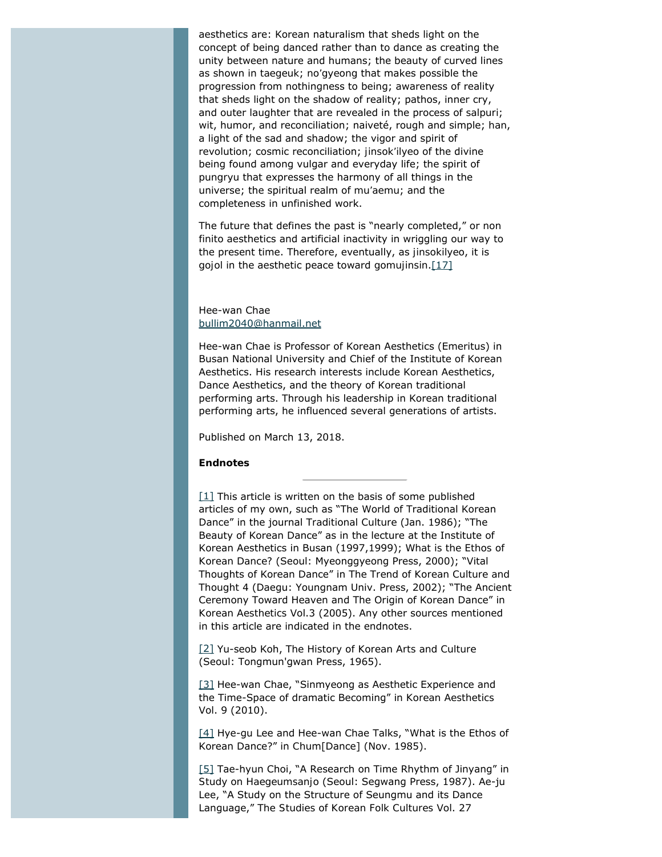aesthetics are: Korean naturalism that sheds light on the concept of being danced rather than to dance as creating the unity between nature and humans; the beauty of curved lines as shown in *taegeuk*; *no'gyeong* that makes possible the progression from nothingness to being; awareness of reality that sheds light on the shadow of reality; pathos, inner cry, and outer laughter that are revealed in the process of *salpuri*; wit, humor, and reconciliation; naiveté, rough and simple; *han*, a light of the sad and shadow; the vigor and spirit of revolution; cosmic reconciliation; *jinsok'ilyeo* of the divine being found among vulgar and everyday life; the spirit of *pungryu* that expresses the harmony of all things in the universe; the spiritual realm of *mu'aemu*; and the completeness in unfinished work.

<span id="page-13-5"></span>The future that defines the past is "nearly completed," or *non finito* aesthetics and artificial inactivity in wriggling our way to the present time. Therefore, eventually, as *jinsokilyeo*, it is *gojol* in the aesthetic peace toward *gomujinsin*[.\[17\]](#page-14-11)

#### Hee-wan Chae [bullim2040@hanmail.net](mailto:bullim2040@hanmail.net)

Hee-wan Chae is Professor of Korean Aesthetics (Emeritus) in Busan National University and Chief of the Institute of Korean Aesthetics. His research interests include Korean Aesthetics, Dance Aesthetics, and the theory of Korean traditional performing arts. Through his leadership in Korean traditional performing arts, he influenced several generations of artists.

Published on March 13, 2018.

#### **Endnotes**

<span id="page-13-0"></span> $[1]$  This article is written on the basis of some published articles of my own, such as "The World of Traditional Korean Dance" in the journal *Traditional Culture* (Jan. 1986); "The Beauty of Korean Dance" as in the lecture at the Institute of Korean Aesthetics in Busan (1997,1999); *What is the Ethos of Korean Dance?* (Seoul: Myeonggyeong Press, 2000); "Vital Thoughts of Korean Dance" in *The Trend of Korean Culture and Thought 4* (Daegu: Youngnam Univ. Press, 2002); "The Ancient Ceremony Toward Heaven and The Origin of Korean Dance" in *Korean Aesthetics* Vol.3 (2005). Any other sources mentioned in this article are indicated in the endnotes.

<span id="page-13-1"></span>[\[2\]](#page-1-1) Yu-seob Koh, *The History of Korean Arts and Culture* (Seoul: Tongmun'gwan Press, 1965).

<span id="page-13-2"></span>[\[3\]](#page-2-0) Hee-wan Chae, "Sinmyeong as Aesthetic Experience and the Time-Space of dramatic Becoming" in *Korean Aesthetics* Vol. 9 (2010).

<span id="page-13-3"></span>[\[4\]](#page-3-0) Hye-gu Lee and Hee-wan Chae Talks, "What is the Ethos of Korean Dance?" in *Chu*m[Dance] (Nov. 1985).

<span id="page-13-4"></span>[\[5\]](#page-4-0) Tae-hyun Choi, "A Research on Time Rhythm of Jinyang" in *Study on Haegeumsanjo* (Seoul: Segwang Press, 1987). Ae-ju Lee, "A Study on the Structure of Seungmu and its Dance Language," *The Studies of Korean Folk Cultures* Vol. 27